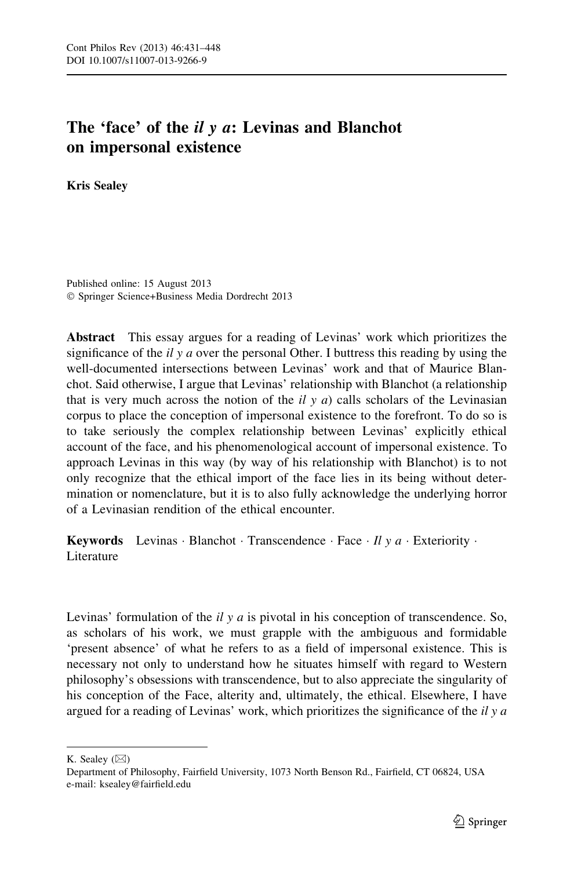# The 'face' of the il y a: Levinas and Blanchot on impersonal existence

Kris Sealey

Published online: 15 August 2013 - Springer Science+Business Media Dordrecht 2013

Abstract This essay argues for a reading of Levinas' work which prioritizes the significance of the  $ily a$  over the personal Other. I buttress this reading by using the well-documented intersections between Levinas' work and that of Maurice Blanchot. Said otherwise, I argue that Levinas' relationship with Blanchot (a relationship that is very much across the notion of the  $il y a$  calls scholars of the Levinasian corpus to place the conception of impersonal existence to the forefront. To do so is to take seriously the complex relationship between Levinas' explicitly ethical account of the face, and his phenomenological account of impersonal existence. To approach Levinas in this way (by way of his relationship with Blanchot) is to not only recognize that the ethical import of the face lies in its being without determination or nomenclature, but it is to also fully acknowledge the underlying horror of a Levinasian rendition of the ethical encounter.

**Keywords** Levinas Blanchot Transcendence Face  $\cdot$  *Il* y a  $\cdot$  Exteriority  $\cdot$ Literature

Levinas' formulation of the  $ily a$  is pivotal in his conception of transcendence. So, as scholars of his work, we must grapple with the ambiguous and formidable 'present absence' of what he refers to as a field of impersonal existence. This is necessary not only to understand how he situates himself with regard to Western philosophy's obsessions with transcendence, but to also appreciate the singularity of his conception of the Face, alterity and, ultimately, the ethical. Elsewhere, I have argued for a reading of Levinas' work, which prioritizes the significance of the  $ily a$ 

K. Sealey  $(\boxtimes)$ 

Department of Philosophy, Fairfield University, 1073 North Benson Rd., Fairfield, CT 06824, USA e-mail: ksealey@fairfield.edu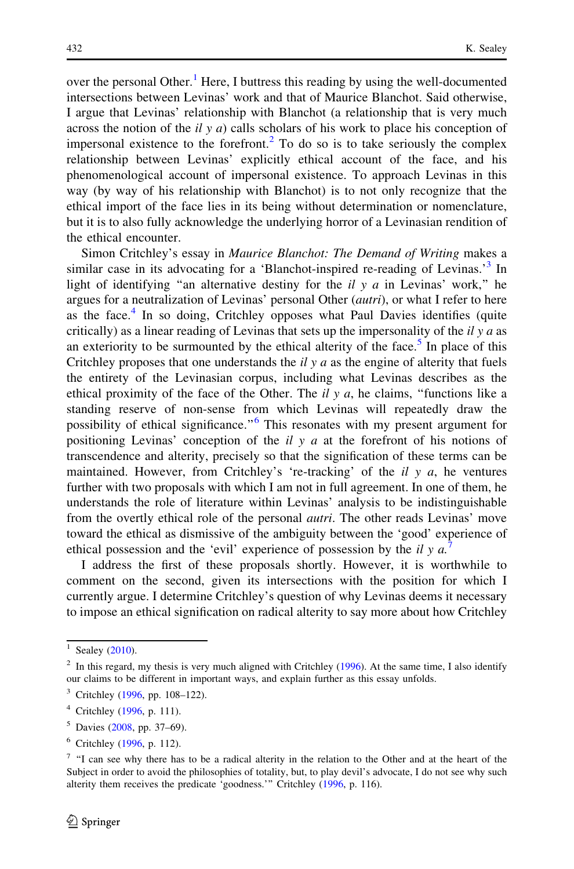over the personal Other.<sup>1</sup> Here, I buttress this reading by using the well-documented intersections between Levinas' work and that of Maurice Blanchot. Said otherwise, I argue that Levinas' relationship with Blanchot (a relationship that is very much across the notion of the il y a) calls scholars of his work to place his conception of impersonal existence to the forefront.<sup>2</sup> To do so is to take seriously the complex relationship between Levinas' explicitly ethical account of the face, and his phenomenological account of impersonal existence. To approach Levinas in this way (by way of his relationship with Blanchot) is to not only recognize that the ethical import of the face lies in its being without determination or nomenclature, but it is to also fully acknowledge the underlying horror of a Levinasian rendition of the ethical encounter.

Simon Critchley's essay in Maurice Blanchot: The Demand of Writing makes a similar case in its advocating for a 'Blanchot-inspired re-reading of Levinas.<sup>3</sup> In light of identifying "an alternative destiny for the  $il$  y  $a$  in Levinas' work," he argues for a neutralization of Levinas' personal Other (autri), or what I refer to here as the face. $4 \text{ In so doing, Critchlev opposes what Paul Davies identifies (quite)}$ critically) as a linear reading of Levinas that sets up the impersonality of the  $ily a$  as an exteriority to be surmounted by the ethical alterity of the face.<sup>5</sup> In place of this Critchley proposes that one understands the  $ily a$  as the engine of alterity that fuels the entirety of the Levinasian corpus, including what Levinas describes as the ethical proximity of the face of the Other. The  $ily a$ , he claims, "functions like a standing reserve of non-sense from which Levinas will repeatedly draw the possibility of ethical significance."<sup>6</sup> This resonates with my present argument for positioning Levinas' conception of the  $il$  y  $a$  at the forefront of his notions of transcendence and alterity, precisely so that the signification of these terms can be maintained. However, from Critchley's 're-tracking' of the il y a, he ventures further with two proposals with which I am not in full agreement. In one of them, he understands the role of literature within Levinas' analysis to be indistinguishable from the overtly ethical role of the personal autri. The other reads Levinas' move toward the ethical as dismissive of the ambiguity between the 'good' experience of ethical possession and the 'evil' experience of possession by the *il*  $y$  *a*.

I address the first of these proposals shortly. However, it is worthwhile to comment on the second, given its intersections with the position for which I currently argue. I determine Critchley's question of why Levinas deems it necessary to impose an ethical signification on radical alterity to say more about how Critchley

 $1$  Sealey ([2010](#page-17-0)).

 $2 \text{ In this regard, my thesis is very much aligned with Critchley (1996). At the same time, I also identify }$  $2 \text{ In this regard, my thesis is very much aligned with Critchley (1996). At the same time, I also identify }$  $2 \text{ In this regard, my thesis is very much aligned with Critchley (1996). At the same time, I also identify }$ our claims to be different in important ways, and explain further as this essay unfolds.

<sup>3</sup> Critchley [\(1996,](#page-16-0) pp. 108–122).

<sup>4</sup> Critchley [\(1996,](#page-16-0) p. 111).

<sup>5</sup> Davies [\(2008](#page-16-0), pp. 37–69).

<sup>6</sup> Critchley [\(1996,](#page-16-0) p. 112).

 $7$  "I can see why there has to be a radical alterity in the relation to the Other and at the heart of the Subject in order to avoid the philosophies of totality, but, to play devil's advocate, I do not see why such alterity them receives the predicate 'goodness.''' Critchley [\(1996,](#page-16-0) p. 116).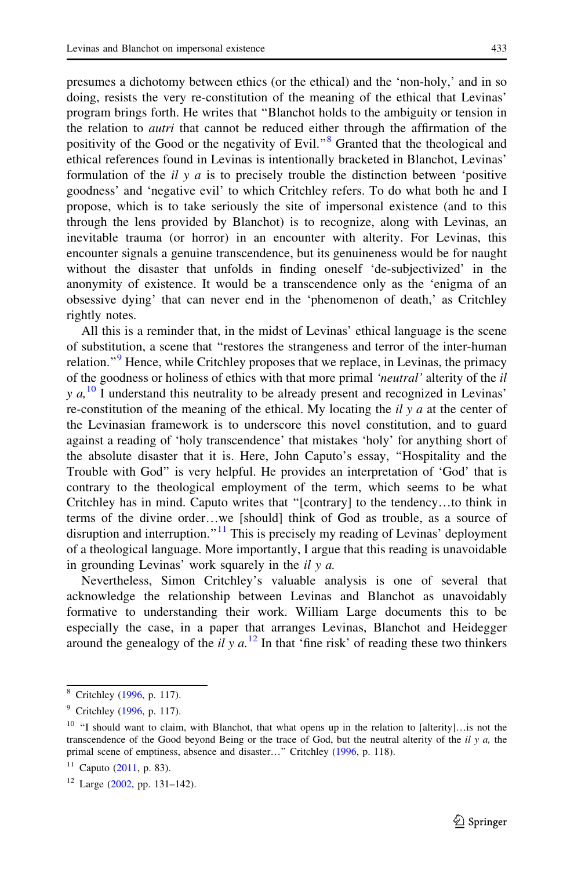presumes a dichotomy between ethics (or the ethical) and the 'non-holy,' and in so doing, resists the very re-constitution of the meaning of the ethical that Levinas' program brings forth. He writes that ''Blanchot holds to the ambiguity or tension in the relation to autri that cannot be reduced either through the affirmation of the positivity of the Good or the negativity of Evil."<sup>8</sup> Granted that the theological and ethical references found in Levinas is intentionally bracketed in Blanchot, Levinas' formulation of the  $il$  y a is to precisely trouble the distinction between 'positive goodness' and 'negative evil' to which Critchley refers. To do what both he and I propose, which is to take seriously the site of impersonal existence (and to this through the lens provided by Blanchot) is to recognize, along with Levinas, an inevitable trauma (or horror) in an encounter with alterity. For Levinas, this encounter signals a genuine transcendence, but its genuineness would be for naught without the disaster that unfolds in finding oneself 'de-subjectivized' in the anonymity of existence. It would be a transcendence only as the 'enigma of an obsessive dying' that can never end in the 'phenomenon of death,' as Critchley rightly notes.

All this is a reminder that, in the midst of Levinas' ethical language is the scene of substitution, a scene that ''restores the strangeness and terror of the inter-human relation."<sup>9</sup> Hence, while Critchley proposes that we replace, in Levinas, the primacy of the goodness or holiness of ethics with that more primal 'neutral' alterity of the il  $y_a$ , <sup>10</sup> I understand this neutrality to be already present and recognized in Levinas' re-constitution of the meaning of the ethical. My locating the  $ily a$  at the center of the Levinasian framework is to underscore this novel constitution, and to guard against a reading of 'holy transcendence' that mistakes 'holy' for anything short of the absolute disaster that it is. Here, John Caputo's essay, ''Hospitality and the Trouble with God'' is very helpful. He provides an interpretation of 'God' that is contrary to the theological employment of the term, which seems to be what Critchley has in mind. Caputo writes that ''[contrary] to the tendency…to think in terms of the divine order…we [should] think of God as trouble, as a source of disruption and interruption."<sup>11</sup> This is precisely my reading of Levinas' deployment of a theological language. More importantly, I argue that this reading is unavoidable in grounding Levinas' work squarely in the  $ily a$ .

Nevertheless, Simon Critchley's valuable analysis is one of several that acknowledge the relationship between Levinas and Blanchot as unavoidably formative to understanding their work. William Large documents this to be especially the case, in a paper that arranges Levinas, Blanchot and Heidegger around the genealogy of the il y  $a<sup>12</sup>$  In that 'fine risk' of reading these two thinkers

<sup>8</sup> Critchley [\(1996,](#page-16-0) p. 117).

<sup>&</sup>lt;sup>9</sup> Critchley [\(1996,](#page-16-0) p. 117).

<sup>&</sup>lt;sup>10</sup> "I should want to claim, with Blanchot, that what opens up in the relation to [alterity]...is not the transcendence of the Good beyond Being or the trace of God, but the neutral alterity of the  $il y a$ , the primal scene of emptiness, absence and disaster..." Critchley [\(1996](#page-16-0), p. 118).

 $11$  Caputo [\(2011](#page-16-0), p. 83).

 $12$  Large ([2002,](#page-17-0) pp. 131–142).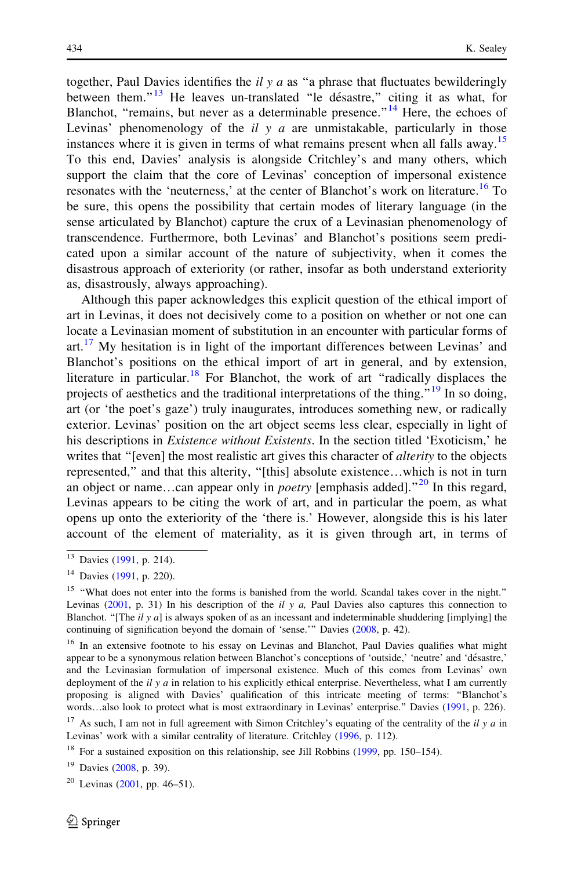together, Paul Davies identifies the  $il$  y  $a$  as "a phrase that fluctuates bewilderingly between them."<sup>13</sup> He leaves un-translated "le désastre," citing it as what, for Blanchot, "remains, but never as a determinable presence."<sup>14</sup> Here, the echoes of Levinas' phenomenology of the  $il$  y a are unmistakable, particularly in those instances where it is given in terms of what remains present when all falls away.<sup>15</sup> To this end, Davies' analysis is alongside Critchley's and many others, which support the claim that the core of Levinas' conception of impersonal existence resonates with the 'neuterness,' at the center of Blanchot's work on literature.<sup>16</sup> To be sure, this opens the possibility that certain modes of literary language (in the sense articulated by Blanchot) capture the crux of a Levinasian phenomenology of transcendence. Furthermore, both Levinas' and Blanchot's positions seem predicated upon a similar account of the nature of subjectivity, when it comes the disastrous approach of exteriority (or rather, insofar as both understand exteriority as, disastrously, always approaching).

Although this paper acknowledges this explicit question of the ethical import of art in Levinas, it does not decisively come to a position on whether or not one can locate a Levinasian moment of substitution in an encounter with particular forms of  $art<sup>17</sup>$  My hesitation is in light of the important differences between Levinas' and Blanchot's positions on the ethical import of art in general, and by extension, literature in particular.<sup>18</sup> For Blanchot, the work of art "radically displaces the projects of aesthetics and the traditional interpretations of the thing.<sup>"19</sup> In so doing, art (or 'the poet's gaze') truly inaugurates, introduces something new, or radically exterior. Levinas' position on the art object seems less clear, especially in light of his descriptions in *Existence without Existents*. In the section titled 'Exoticism,' he writes that "[even] the most realistic art gives this character of *alterity* to the objects represented,'' and that this alterity, ''[this] absolute existence…which is not in turn an object or name...can appear only in *poetry* [emphasis added].<sup>"20</sup> In this regard, Levinas appears to be citing the work of art, and in particular the poem, as what opens up onto the exteriority of the 'there is.' However, alongside this is his later account of the element of materiality, as it is given through art, in terms of

 $\frac{13}{13}$  Davies [\(1991](#page-16-0), p. 214).

<sup>&</sup>lt;sup>14</sup> Davies [\(1991](#page-16-0), p. 220).

<sup>&</sup>lt;sup>15</sup> "What does not enter into the forms is banished from the world. Scandal takes cover in the night." Levinas ([2001](#page-17-0), p. 31) In his description of the il y a, Paul Davies also captures this connection to Blanchot. "[The  $il y a$ ] is always spoken of as an incessant and indeterminable shuddering [implying] the continuing of signification beyond the domain of 'sense.''' Davies [\(2008](#page-16-0), p. 42).

<sup>&</sup>lt;sup>16</sup> In an extensive footnote to his essay on Levinas and Blanchot, Paul Davies qualifies what might appear to be a synonymous relation between Blanchot's conceptions of 'outside,' 'neutre' and 'désastre,' and the Levinasian formulation of impersonal existence. Much of this comes from Levinas' own deployment of the  $il$  y  $a$  in relation to his explicitly ethical enterprise. Nevertheless, what I am currently proposing is aligned with Davies' qualification of this intricate meeting of terms: ''Blanchot's words…also look to protect what is most extraordinary in Levinas' enterprise." Davies ([1991](#page-16-0), p. 226).

<sup>&</sup>lt;sup>17</sup> As such, I am not in full agreement with Simon Critchley's equating of the centrality of the *il* y  $a$  in Levinas' work with a similar centrality of literature. Critchley [\(1996](#page-16-0), p. 112).

<sup>&</sup>lt;sup>18</sup> For a sustained exposition on this relationship, see Jill Robbins [\(1999](#page-17-0), pp. 150-154).

 $19$  Davies [\(2008](#page-16-0), p. 39).

 $20$  Levinas ([2001](#page-17-0), pp. 46–51).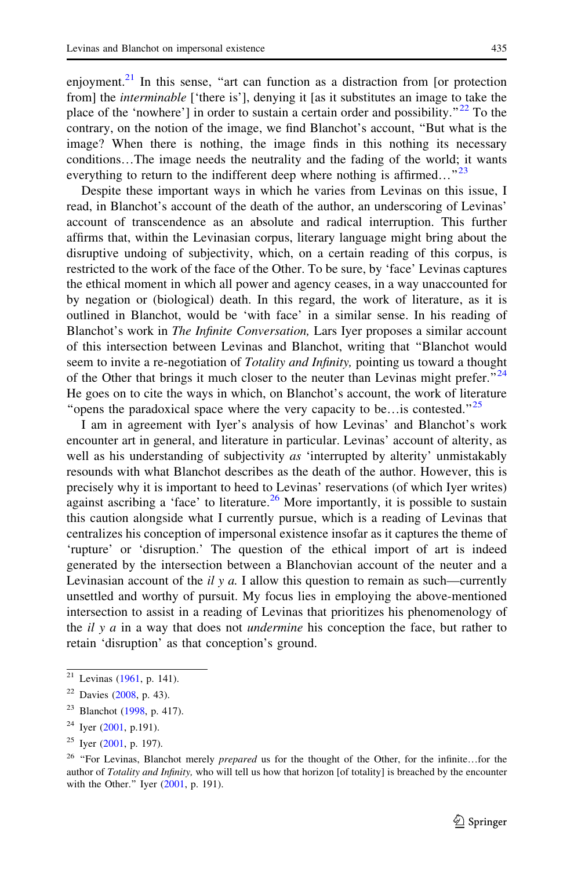enjoyment. $^{21}$  In this sense, "art can function as a distraction from [or protection from] the *interminable* ['there is'], denying it [as it substitutes an image to take the place of the 'nowhere'] in order to sustain a certain order and possibility. $12^2$  To the contrary, on the notion of the image, we find Blanchot's account, ''But what is the image? When there is nothing, the image finds in this nothing its necessary conditions…The image needs the neutrality and the fading of the world; it wants everything to return to the indifferent deep where nothing is affirmed..."<sup>23</sup>

Despite these important ways in which he varies from Levinas on this issue, I read, in Blanchot's account of the death of the author, an underscoring of Levinas' account of transcendence as an absolute and radical interruption. This further affirms that, within the Levinasian corpus, literary language might bring about the disruptive undoing of subjectivity, which, on a certain reading of this corpus, is restricted to the work of the face of the Other. To be sure, by 'face' Levinas captures the ethical moment in which all power and agency ceases, in a way unaccounted for by negation or (biological) death. In this regard, the work of literature, as it is outlined in Blanchot, would be 'with face' in a similar sense. In his reading of Blanchot's work in The Infinite Conversation, Lars Iyer proposes a similar account of this intersection between Levinas and Blanchot, writing that ''Blanchot would seem to invite a re-negotiation of *Totality and Infinity*, pointing us toward a thought of the Other that brings it much closer to the neuter than Levinas might prefer.<sup> $24$ </sup> He goes on to cite the ways in which, on Blanchot's account, the work of literature "opens the paradoxical space where the very capacity to be…is contested."<sup>25</sup>

I am in agreement with Iyer's analysis of how Levinas' and Blanchot's work encounter art in general, and literature in particular. Levinas' account of alterity, as well as his understanding of subjectivity *as* 'interrupted by alterity' unmistakably resounds with what Blanchot describes as the death of the author. However, this is precisely why it is important to heed to Levinas' reservations (of which Iyer writes) against ascribing a 'face' to literature.<sup>26</sup> More importantly, it is possible to sustain this caution alongside what I currently pursue, which is a reading of Levinas that centralizes his conception of impersonal existence insofar as it captures the theme of 'rupture' or 'disruption.' The question of the ethical import of art is indeed generated by the intersection between a Blanchovian account of the neuter and a Levinasian account of the  $il y a$ . I allow this question to remain as such—currently unsettled and worthy of pursuit. My focus lies in employing the above-mentioned intersection to assist in a reading of Levinas that prioritizes his phenomenology of the  $il$  y  $a$  in a way that does not *undermine* his conception the face, but rather to retain 'disruption' as that conception's ground.

- $24$  Iyer [\(2001](#page-17-0), p.191).
- <sup>25</sup> Iyer [\(2001](#page-17-0), p. 197).

 $21$  Levinas ([1961](#page-17-0), p. 141).

 $22$  Davies [\(2008](#page-16-0), p. 43).

 $23$  Blanchot [\(1998,](#page-16-0) p. 417).

<sup>&</sup>lt;sup>26</sup> "For Levinas, Blanchot merely *prepared* us for the thought of the Other, for the infinite...for the author of Totality and Infinity, who will tell us how that horizon [of totality] is breached by the encounter with the Other.'' Iyer ([2001](#page-17-0), p. 191).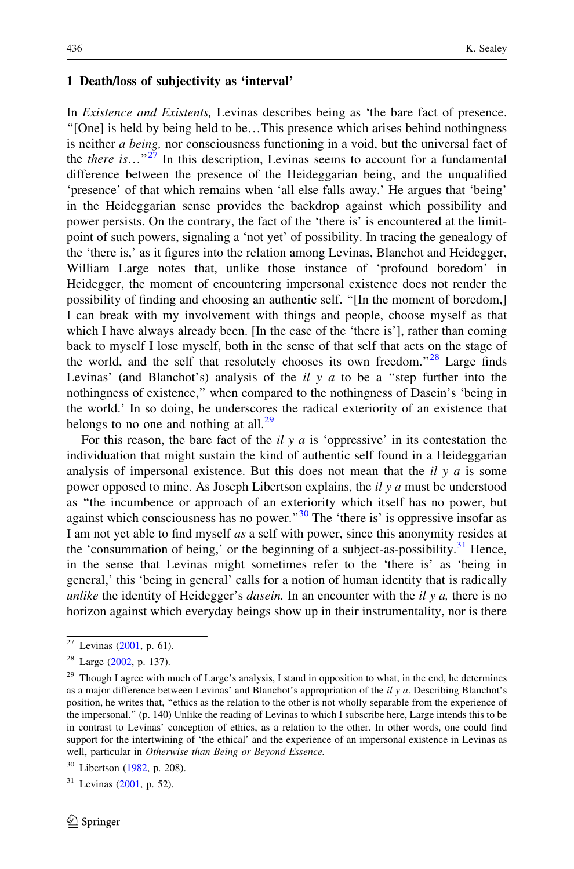#### 1 Death/loss of subjectivity as 'interval'

In *Existence and Existents*, Levinas describes being as 'the bare fact of presence. ''[One] is held by being held to be…This presence which arises behind nothingness is neither *a being*, nor consciousness functioning in a void, but the universal fact of the there is..."<sup>27</sup> In this description, Levinas seems to account for a fundamental difference between the presence of the Heideggarian being, and the unqualified 'presence' of that which remains when 'all else falls away.' He argues that 'being' in the Heideggarian sense provides the backdrop against which possibility and power persists. On the contrary, the fact of the 'there is' is encountered at the limitpoint of such powers, signaling a 'not yet' of possibility. In tracing the genealogy of the 'there is,' as it figures into the relation among Levinas, Blanchot and Heidegger, William Large notes that, unlike those instance of 'profound boredom' in Heidegger, the moment of encountering impersonal existence does not render the possibility of finding and choosing an authentic self. ''[In the moment of boredom,] I can break with my involvement with things and people, choose myself as that which I have always already been. [In the case of the 'there is'], rather than coming back to myself I lose myself, both in the sense of that self that acts on the stage of the world, and the self that resolutely chooses its own freedom.<sup> $28$ </sup> Large finds Levinas' (and Blanchot's) analysis of the  $il$  y a to be a "step further into the nothingness of existence,'' when compared to the nothingness of Dasein's 'being in the world.' In so doing, he underscores the radical exteriority of an existence that belongs to no one and nothing at all. $^{29}$ 

For this reason, the bare fact of the  $il y a$  is 'oppressive' in its contestation the individuation that might sustain the kind of authentic self found in a Heideggarian analysis of impersonal existence. But this does not mean that the  $ily a$  is some power opposed to mine. As Joseph Libertson explains, the  $ily a$  must be understood as ''the incumbence or approach of an exteriority which itself has no power, but against which consciousness has no power." $30$  The 'there is' is oppressive insofar as I am not yet able to find myself as a self with power, since this anonymity resides at the 'consummation of being,' or the beginning of a subject-as-possibility.<sup>31</sup> Hence, in the sense that Levinas might sometimes refer to the 'there is' as 'being in general,' this 'being in general' calls for a notion of human identity that is radically unlike the identity of Heidegger's *dasein*. In an encounter with the  $il y a$ , there is no horizon against which everyday beings show up in their instrumentality, nor is there

 $27$  Levinas ([2001](#page-17-0), p. 61).

 $28$  Large ([2002,](#page-17-0) p. 137).

<sup>&</sup>lt;sup>29</sup> Though I agree with much of Large's analysis, I stand in opposition to what, in the end, he determines as a major difference between Levinas' and Blanchot's appropriation of the il y a. Describing Blanchot's position, he writes that, ''ethics as the relation to the other is not wholly separable from the experience of the impersonal.'' (p. 140) Unlike the reading of Levinas to which I subscribe here, Large intends this to be in contrast to Levinas' conception of ethics, as a relation to the other. In other words, one could find support for the intertwining of 'the ethical' and the experience of an impersonal existence in Levinas as well, particular in Otherwise than Being or Beyond Essence.

 $30$  Libertson ([1982,](#page-17-0) p. 208).

 $31$  Levinas ([2001](#page-17-0), p. 52).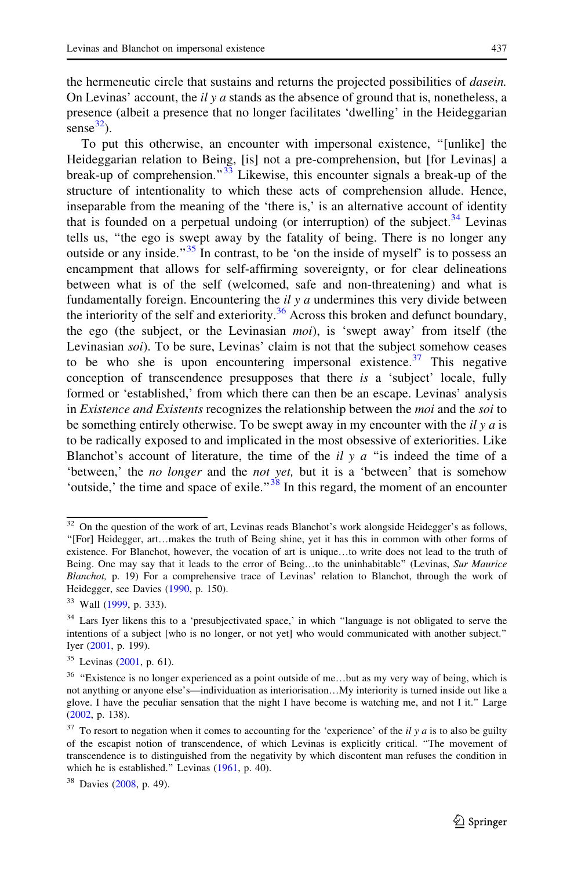the hermeneutic circle that sustains and returns the projected possibilities of *dasein*. On Levinas' account, the  $ily a$  stands as the absence of ground that is, nonetheless, a presence (albeit a presence that no longer facilitates 'dwelling' in the Heideggarian sense $32$ ).

To put this otherwise, an encounter with impersonal existence, ''[unlike] the Heideggarian relation to Being, [is] not a pre-comprehension, but [for Levinas] a break-up of comprehension.<sup>"33</sup> Likewise, this encounter signals a break-up of the structure of intentionality to which these acts of comprehension allude. Hence, inseparable from the meaning of the 'there is,' is an alternative account of identity that is founded on a perpetual undoing (or interruption) of the subject.<sup>34</sup> Levinas tells us, ''the ego is swept away by the fatality of being. There is no longer any outside or any inside."<sup>35</sup> In contrast, to be 'on the inside of myself' is to possess an encampment that allows for self-affirming sovereignty, or for clear delineations between what is of the self (welcomed, safe and non-threatening) and what is fundamentally foreign. Encountering the  $ily$  a undermines this very divide between the interiority of the self and exteriority.<sup>36</sup> Across this broken and defunct boundary, the ego (the subject, or the Levinasian  $m\dot{o}i$ ), is 'swept away' from itself (the Levinasian soi). To be sure, Levinas' claim is not that the subject somehow ceases to be who she is upon encountering impersonal existence.<sup>37</sup> This negative conception of transcendence presupposes that there is a 'subject' locale, fully formed or 'established,' from which there can then be an escape. Levinas' analysis in Existence and Existents recognizes the relationship between the moi and the soi to be something entirely otherwise. To be swept away in my encounter with the il y a is to be radically exposed to and implicated in the most obsessive of exteriorities. Like Blanchot's account of literature, the time of the  $ily a$  "is indeed the time of a 'between,' the no longer and the not yet, but it is a 'between' that is somehow 'outside,' the time and space of exile." $38$  In this regard, the moment of an encounter

<sup>&</sup>lt;sup>32</sup> On the question of the work of art, Levinas reads Blanchot's work alongside Heidegger's as follows, ''[For] Heidegger, art…makes the truth of Being shine, yet it has this in common with other forms of existence. For Blanchot, however, the vocation of art is unique…to write does not lead to the truth of Being. One may say that it leads to the error of Being…to the uninhabitable'' (Levinas, Sur Maurice Blanchot, p. 19) For a comprehensive trace of Levinas' relation to Blanchot, through the work of Heidegger, see Davies [\(1990](#page-16-0), p. 150).

<sup>&</sup>lt;sup>33</sup> Wall ([1999,](#page-17-0) p. 333).

<sup>&</sup>lt;sup>34</sup> Lars Iyer likens this to a 'presubjectivated space,' in which "language is not obligated to serve the intentions of a subject [who is no longer, or not yet] who would communicated with another subject.'' Iyer [\(2001](#page-17-0), p. 199).

 $35$  Levinas ([2001](#page-17-0), p. 61).

<sup>&</sup>lt;sup>36</sup> "Existence is no longer experienced as a point outside of me...but as my very way of being, which is not anything or anyone else's—individuation as interiorisation…My interiority is turned inside out like a glove. I have the peculiar sensation that the night I have become is watching me, and not I it.'' Large ([2002,](#page-17-0) p. 138).

 $37$  To resort to negation when it comes to accounting for the 'experience' of the il y a is to also be guilty of the escapist notion of transcendence, of which Levinas is explicitly critical. ''The movement of transcendence is to distinguished from the negativity by which discontent man refuses the condition in which he is established." Levinas [\(1961](#page-17-0), p. 40).

<sup>&</sup>lt;sup>38</sup> Davies [\(2008](#page-16-0), p. 49).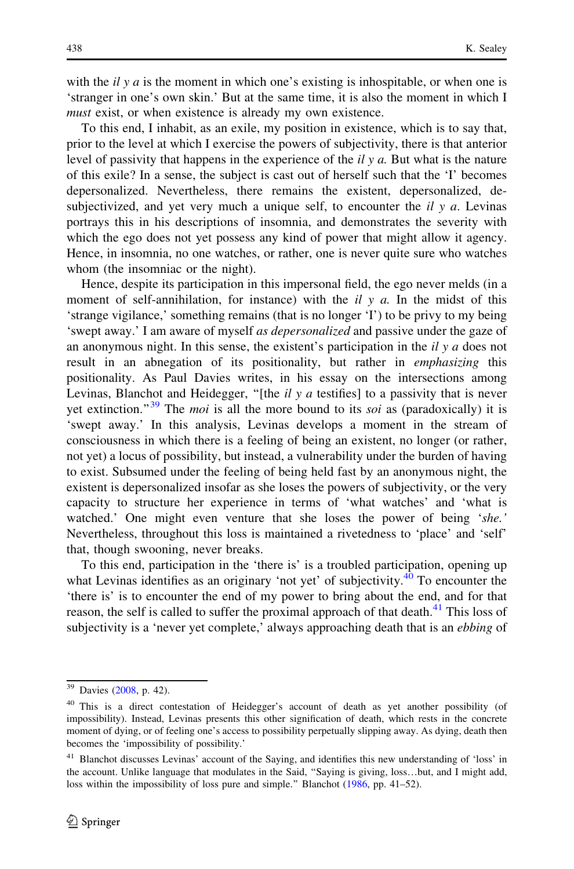with the  $il$  y a is the moment in which one's existing is inhospitable, or when one is 'stranger in one's own skin.' But at the same time, it is also the moment in which I must exist, or when existence is already my own existence.

To this end, I inhabit, as an exile, my position in existence, which is to say that, prior to the level at which I exercise the powers of subjectivity, there is that anterior level of passivity that happens in the experience of the  $ily a$ . But what is the nature of this exile? In a sense, the subject is cast out of herself such that the 'I' becomes depersonalized. Nevertheless, there remains the existent, depersonalized, desubjectivized, and yet very much a unique self, to encounter the  $il y a$ . Levinas portrays this in his descriptions of insomnia, and demonstrates the severity with which the ego does not yet possess any kind of power that might allow it agency. Hence, in insomnia, no one watches, or rather, one is never quite sure who watches whom (the insomniac or the night).

Hence, despite its participation in this impersonal field, the ego never melds (in a moment of self-annihilation, for instance) with the  $il \, y \, a$ . In the midst of this 'strange vigilance,' something remains (that is no longer 'I') to be privy to my being 'swept away.' I am aware of myself as depersonalized and passive under the gaze of an anonymous night. In this sense, the existent's participation in the  $il$  y a does not result in an abnegation of its positionality, but rather in *emphasizing* this positionality. As Paul Davies writes, in his essay on the intersections among Levinas, Blanchot and Heidegger, "[the  $ily a$  testifies] to a passivity that is never yet extinction."<sup>39</sup> The *moi* is all the more bound to its *soi* as (paradoxically) it is 'swept away.' In this analysis, Levinas develops a moment in the stream of consciousness in which there is a feeling of being an existent, no longer (or rather, not yet) a locus of possibility, but instead, a vulnerability under the burden of having to exist. Subsumed under the feeling of being held fast by an anonymous night, the existent is depersonalized insofar as she loses the powers of subjectivity, or the very capacity to structure her experience in terms of 'what watches' and 'what is watched.' One might even venture that she loses the power of being 'she.' Nevertheless, throughout this loss is maintained a rivetedness to 'place' and 'self' that, though swooning, never breaks.

To this end, participation in the 'there is' is a troubled participation, opening up what Levinas identifies as an originary 'not yet' of subjectivity.<sup>40</sup> To encounter the 'there is' is to encounter the end of my power to bring about the end, and for that reason, the self is called to suffer the proximal approach of that death.<sup>41</sup> This loss of subjectivity is a 'never yet complete,' always approaching death that is an *ebbing* of

<sup>&</sup>lt;sup>39</sup> Davies [\(2008](#page-16-0), p. 42).

<sup>&</sup>lt;sup>40</sup> This is a direct contestation of Heidegger's account of death as yet another possibility (of impossibility). Instead, Levinas presents this other signification of death, which rests in the concrete moment of dying, or of feeling one's access to possibility perpetually slipping away. As dying, death then becomes the 'impossibility of possibility.'

<sup>41</sup> Blanchot discusses Levinas' account of the Saying, and identifies this new understanding of 'loss' in the account. Unlike language that modulates in the Said, ''Saying is giving, loss…but, and I might add, loss within the impossibility of loss pure and simple.'' Blanchot [\(1986](#page-16-0), pp. 41–52).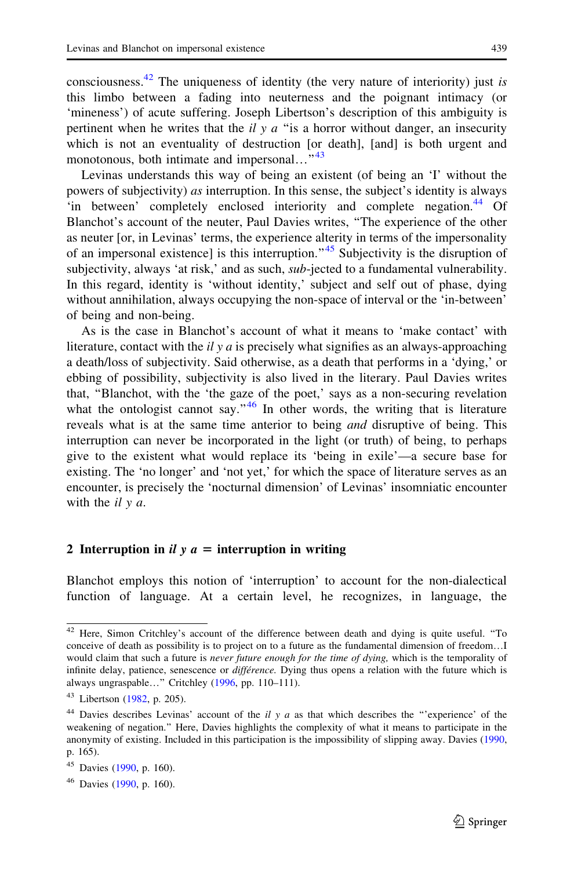consciousness. $^{42}$  The uniqueness of identity (the very nature of interiority) just is this limbo between a fading into neuterness and the poignant intimacy (or 'mineness') of acute suffering. Joseph Libertson's description of this ambiguity is pertinent when he writes that the  $il \, y \, a$  "is a horror without danger, an insecurity which is not an eventuality of destruction [or death], [and] is both urgent and monotonous, both intimate and impersonal..."<sup>43</sup>

Levinas understands this way of being an existent (of being an 'I' without the powers of subjectivity) as interruption. In this sense, the subject's identity is always 'in between' completely enclosed interiority and complete negation.<sup>44</sup> Of Blanchot's account of the neuter, Paul Davies writes, ''The experience of the other as neuter [or, in Levinas' terms, the experience alterity in terms of the impersonality of an impersonal existence] is this interruption.''<sup>45</sup> Subjectivity is the disruption of subjectivity, always 'at risk,' and as such, *sub*-jected to a fundamental vulnerability. In this regard, identity is 'without identity,' subject and self out of phase, dying without annihilation, always occupying the non-space of interval or the 'in-between' of being and non-being.

As is the case in Blanchot's account of what it means to 'make contact' with literature, contact with the *il* y *a* is precisely what signifies as an always-approaching a death/loss of subjectivity. Said otherwise, as a death that performs in a 'dying,' or ebbing of possibility, subjectivity is also lived in the literary. Paul Davies writes that, ''Blanchot, with the 'the gaze of the poet,' says as a non-securing revelation what the ontologist cannot say.<sup> $,46$ </sup> In other words, the writing that is literature reveals what is at the same time anterior to being and disruptive of being. This interruption can never be incorporated in the light (or truth) of being, to perhaps give to the existent what would replace its 'being in exile'—a secure base for existing. The 'no longer' and 'not yet,' for which the space of literature serves as an encounter, is precisely the 'nocturnal dimension' of Levinas' insomniatic encounter with the  $il$  y  $a$ .

# 2 Interruption in il y  $a =$  interruption in writing

Blanchot employs this notion of 'interruption' to account for the non-dialectical function of language. At a certain level, he recognizes, in language, the

<sup>&</sup>lt;sup>42</sup> Here, Simon Critchley's account of the difference between death and dying is quite useful. "To conceive of death as possibility is to project on to a future as the fundamental dimension of freedom…I would claim that such a future is never future enough for the time of dying, which is the temporality of infinite delay, patience, senescence or *différence*. Dying thus opens a relation with the future which is always ungraspable…'' Critchley [\(1996](#page-16-0), pp. 110–111).

<sup>43</sup> Libertson ([1982,](#page-17-0) p. 205).

 $44$  Davies describes Levinas' account of the il y a as that which describes the "'experience' of the weakening of negation.'' Here, Davies highlights the complexity of what it means to participate in the anonymity of existing. Included in this participation is the impossibility of slipping away. Davies [\(1990](#page-16-0), p. 165).

<sup>45</sup> Davies [\(1990](#page-16-0), p. 160).

<sup>46</sup> Davies [\(1990](#page-16-0), p. 160).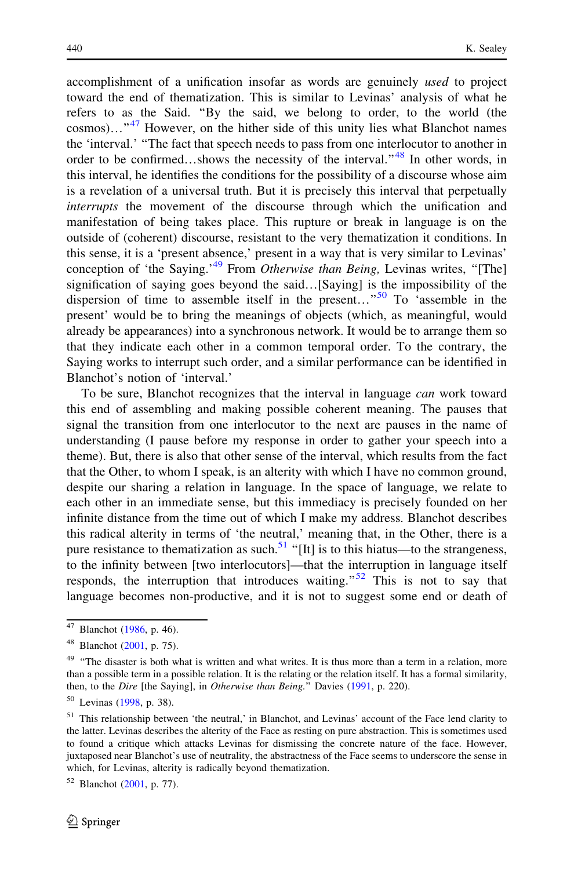accomplishment of a unification insofar as words are genuinely used to project toward the end of thematization. This is similar to Levinas' analysis of what he refers to as the Said. ''By the said, we belong to order, to the world (the cosmos)..."<sup>47</sup> However, on the hither side of this unity lies what Blanchot names the 'interval.' ''The fact that speech needs to pass from one interlocutor to another in order to be confirmed...shows the necessity of the interval."<sup>48</sup> In other words, in this interval, he identifies the conditions for the possibility of a discourse whose aim is a revelation of a universal truth. But it is precisely this interval that perpetually interrupts the movement of the discourse through which the unification and manifestation of being takes place. This rupture or break in language is on the outside of (coherent) discourse, resistant to the very thematization it conditions. In this sense, it is a 'present absence,' present in a way that is very similar to Levinas' conception of 'the Saying.'<sup>49</sup> From *Otherwise than Being*, Levinas writes, "[The] signification of saying goes beyond the said…[Saying] is the impossibility of the dispersion of time to assemble itself in the present..."<sup>50</sup> To 'assemble in the present' would be to bring the meanings of objects (which, as meaningful, would already be appearances) into a synchronous network. It would be to arrange them so that they indicate each other in a common temporal order. To the contrary, the Saying works to interrupt such order, and a similar performance can be identified in Blanchot's notion of 'interval.'

To be sure, Blanchot recognizes that the interval in language can work toward this end of assembling and making possible coherent meaning. The pauses that signal the transition from one interlocutor to the next are pauses in the name of understanding (I pause before my response in order to gather your speech into a theme). But, there is also that other sense of the interval, which results from the fact that the Other, to whom I speak, is an alterity with which I have no common ground, despite our sharing a relation in language. In the space of language, we relate to each other in an immediate sense, but this immediacy is precisely founded on her infinite distance from the time out of which I make my address. Blanchot describes this radical alterity in terms of 'the neutral,' meaning that, in the Other, there is a pure resistance to thematization as such.<sup>51</sup> "[It] is to this hiatus—to the strangeness, to the infinity between [two interlocutors]—that the interruption in language itself responds, the interruption that introduces waiting.<sup>52</sup> This is not to say that language becomes non-productive, and it is not to suggest some end or death of

<sup>47</sup> Blanchot [\(1986,](#page-16-0) p. 46).

<sup>48</sup> Blanchot [\(2001,](#page-16-0) p. 75).

<sup>&</sup>lt;sup>49</sup> "The disaster is both what is written and what writes. It is thus more than a term in a relation, more than a possible term in a possible relation. It is the relating or the relation itself. It has a formal similarity, then, to the Dire [the Saying], in Otherwise than Being." Davies [\(1991](#page-16-0), p. 220).

<sup>50</sup> Levinas ([1998](#page-17-0), p. 38).

<sup>&</sup>lt;sup>51</sup> This relationship between 'the neutral,' in Blanchot, and Levinas' account of the Face lend clarity to the latter. Levinas describes the alterity of the Face as resting on pure abstraction. This is sometimes used to found a critique which attacks Levinas for dismissing the concrete nature of the face. However, juxtaposed near Blanchot's use of neutrality, the abstractness of the Face seems to underscore the sense in which, for Levinas, alterity is radically beyond thematization.

 $52$  Blanchot [\(2001,](#page-16-0) p. 77).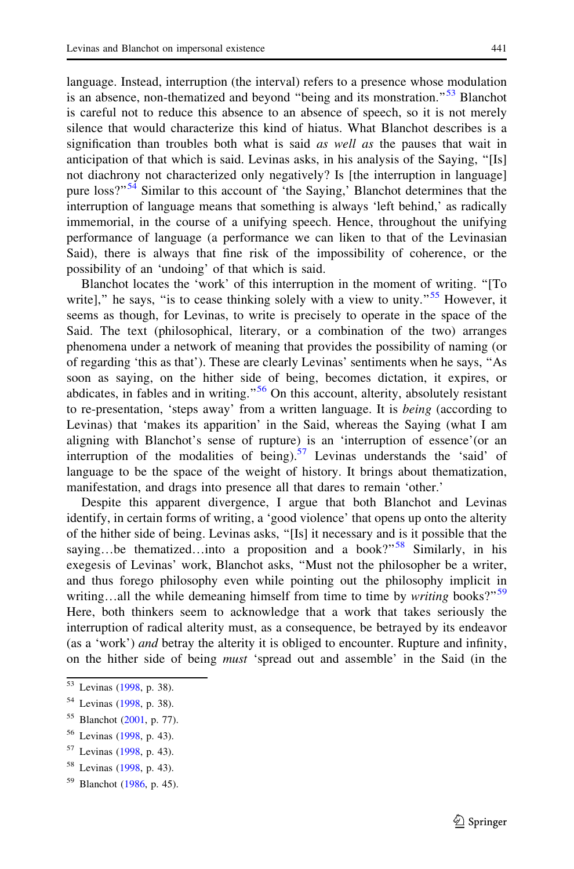language. Instead, interruption (the interval) refers to a presence whose modulation is an absence, non-thematized and beyond "being and its monstration."<sup>53</sup> Blanchot is careful not to reduce this absence to an absence of speech, so it is not merely silence that would characterize this kind of hiatus. What Blanchot describes is a signification than troubles both what is said as well as the pauses that wait in anticipation of that which is said. Levinas asks, in his analysis of the Saying, ''[Is] not diachrony not characterized only negatively? Is [the interruption in language] pure loss?"<sup>54</sup> Similar to this account of 'the Saying,' Blanchot determines that the interruption of language means that something is always 'left behind,' as radically immemorial, in the course of a unifying speech. Hence, throughout the unifying performance of language (a performance we can liken to that of the Levinasian Said), there is always that fine risk of the impossibility of coherence, or the possibility of an 'undoing' of that which is said.

Blanchot locates the 'work' of this interruption in the moment of writing. ''[To write]," he says, "is to cease thinking solely with a view to unity."<sup>55</sup> However, it seems as though, for Levinas, to write is precisely to operate in the space of the Said. The text (philosophical, literary, or a combination of the two) arranges phenomena under a network of meaning that provides the possibility of naming (or of regarding 'this as that'). These are clearly Levinas' sentiments when he says, ''As soon as saying, on the hither side of being, becomes dictation, it expires, or abdicates, in fables and in writing."<sup>56</sup> On this account, alterity, absolutely resistant to re-presentation, 'steps away' from a written language. It is being (according to Levinas) that 'makes its apparition' in the Said, whereas the Saying (what I am aligning with Blanchot's sense of rupture) is an 'interruption of essence'(or an interruption of the modalities of being).<sup>57</sup> Levinas understands the 'said' of language to be the space of the weight of history. It brings about thematization, manifestation, and drags into presence all that dares to remain 'other.'

Despite this apparent divergence, I argue that both Blanchot and Levinas identify, in certain forms of writing, a 'good violence' that opens up onto the alterity of the hither side of being. Levinas asks, ''[Is] it necessary and is it possible that the saying…be thematized…into a proposition and a book?"<sup>58</sup> Similarly, in his exegesis of Levinas' work, Blanchot asks, ''Must not the philosopher be a writer, and thus forego philosophy even while pointing out the philosophy implicit in writing...all the while demeaning himself from time to time by *writing* books?"<sup>59</sup> Here, both thinkers seem to acknowledge that a work that takes seriously the interruption of radical alterity must, as a consequence, be betrayed by its endeavor (as a 'work') and betray the alterity it is obliged to encounter. Rupture and infinity, on the hither side of being must 'spread out and assemble' in the Said (in the

<sup>53</sup> Levinas ([1998](#page-17-0), p. 38).

<sup>&</sup>lt;sup>54</sup> Levinas ([1998](#page-17-0), p. 38).

<sup>55</sup> Blanchot [\(2001,](#page-16-0) p. 77).

<sup>56</sup> Levinas ([1998](#page-17-0), p. 43).

<sup>57</sup> Levinas ([1998](#page-17-0), p. 43).

<sup>58</sup> Levinas ([1998](#page-17-0), p. 43).

<sup>59</sup> Blanchot [\(1986,](#page-16-0) p. 45).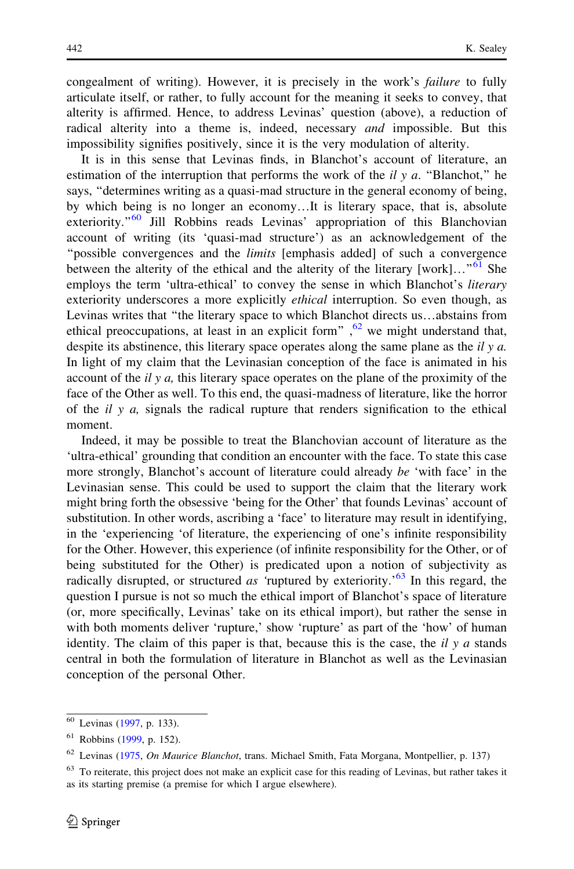congealment of writing). However, it is precisely in the work's failure to fully articulate itself, or rather, to fully account for the meaning it seeks to convey, that alterity is affirmed. Hence, to address Levinas' question (above), a reduction of radical alterity into a theme is, indeed, necessary *and* impossible. But this impossibility signifies positively, since it is the very modulation of alterity.

It is in this sense that Levinas finds, in Blanchot's account of literature, an estimation of the interruption that performs the work of the  $il y a$ . "Blanchot," he says, ''determines writing as a quasi-mad structure in the general economy of being, by which being is no longer an economy…It is literary space, that is, absolute exteriority."<sup>60</sup> Jill Robbins reads Levinas' appropriation of this Blanchovian account of writing (its 'quasi-mad structure') as an acknowledgement of the ''possible convergences and the limits [emphasis added] of such a convergence between the alterity of the ethical and the alterity of the literary  $[work] \dots^{61}$  She employs the term 'ultra-ethical' to convey the sense in which Blanchot's literary exteriority underscores a more explicitly *ethical* interruption. So even though, as Levinas writes that ''the literary space to which Blanchot directs us…abstains from ethical preoccupations, at least in an explicit form",  $62$  we might understand that, despite its abstinence, this literary space operates along the same plane as the  $ily a$ . In light of my claim that the Levinasian conception of the face is animated in his account of the  $ily a$ , this literary space operates on the plane of the proximity of the face of the Other as well. To this end, the quasi-madness of literature, like the horror of the  $il$  y  $a$ , signals the radical rupture that renders signification to the ethical moment.

Indeed, it may be possible to treat the Blanchovian account of literature as the 'ultra-ethical' grounding that condition an encounter with the face. To state this case more strongly, Blanchot's account of literature could already be 'with face' in the Levinasian sense. This could be used to support the claim that the literary work might bring forth the obsessive 'being for the Other' that founds Levinas' account of substitution. In other words, ascribing a 'face' to literature may result in identifying, in the 'experiencing 'of literature, the experiencing of one's infinite responsibility for the Other. However, this experience (of infinite responsibility for the Other, or of being substituted for the Other) is predicated upon a notion of subjectivity as radically disrupted, or structured *as* 'ruptured by exteriority.<sup>63</sup> In this regard, the question I pursue is not so much the ethical import of Blanchot's space of literature (or, more specifically, Levinas' take on its ethical import), but rather the sense in with both moments deliver 'rupture,' show 'rupture' as part of the 'how' of human identity. The claim of this paper is that, because this is the case, the  $ily a$  stands central in both the formulation of literature in Blanchot as well as the Levinasian conception of the personal Other.

<sup>60</sup> Levinas ([1997](#page-17-0), p. 133).

<sup>61</sup> Robbins ([1999,](#page-17-0) p. 152).

<sup>&</sup>lt;sup>62</sup> Levinas ([1975](#page-17-0), On Maurice Blanchot, trans. Michael Smith, Fata Morgana, Montpellier, p. 137)

<sup>&</sup>lt;sup>63</sup> To reiterate, this project does not make an explicit case for this reading of Levinas, but rather takes it as its starting premise (a premise for which I argue elsewhere).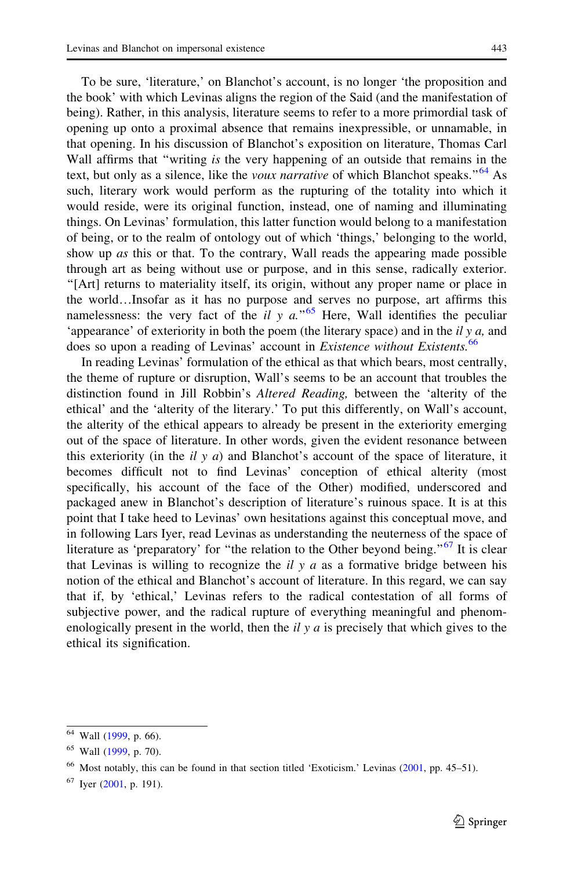To be sure, 'literature,' on Blanchot's account, is no longer 'the proposition and the book' with which Levinas aligns the region of the Said (and the manifestation of being). Rather, in this analysis, literature seems to refer to a more primordial task of opening up onto a proximal absence that remains inexpressible, or unnamable, in that opening. In his discussion of Blanchot's exposition on literature, Thomas Carl Wall affirms that "writing is the very happening of an outside that remains in the text, but only as a silence, like the *voux narrative* of which Blanchot speaks."<sup>64</sup> As such, literary work would perform as the rupturing of the totality into which it would reside, were its original function, instead, one of naming and illuminating things. On Levinas' formulation, this latter function would belong to a manifestation of being, or to the realm of ontology out of which 'things,' belonging to the world, show up as this or that. To the contrary, Wall reads the appearing made possible through art as being without use or purpose, and in this sense, radically exterior. ''[Art] returns to materiality itself, its origin, without any proper name or place in the world…Insofar as it has no purpose and serves no purpose, art affirms this namelessness: the very fact of the  $ily a.^{65}$  Here, Wall identifies the peculiar 'appearance' of exteriority in both the poem (the literary space) and in the il  $y a$ , and does so upon a reading of Levinas' account in *Existence without Existents*.<sup>66</sup>

In reading Levinas' formulation of the ethical as that which bears, most centrally, the theme of rupture or disruption, Wall's seems to be an account that troubles the distinction found in Jill Robbin's Altered Reading, between the 'alterity of the ethical' and the 'alterity of the literary.' To put this differently, on Wall's account, the alterity of the ethical appears to already be present in the exteriority emerging out of the space of literature. In other words, given the evident resonance between this exteriority (in the  $il \, y \, a$ ) and Blanchot's account of the space of literature, it becomes difficult not to find Levinas' conception of ethical alterity (most specifically, his account of the face of the Other) modified, underscored and packaged anew in Blanchot's description of literature's ruinous space. It is at this point that I take heed to Levinas' own hesitations against this conceptual move, and in following Lars Iyer, read Levinas as understanding the neuterness of the space of literature as 'preparatory' for "the relation to the Other beyond being."<sup>67</sup> It is clear that Levinas is willing to recognize the  $il$  y a as a formative bridge between his notion of the ethical and Blanchot's account of literature. In this regard, we can say that if, by 'ethical,' Levinas refers to the radical contestation of all forms of subjective power, and the radical rupture of everything meaningful and phenomenologically present in the world, then the  $ily a$  is precisely that which gives to the ethical its signification.

<sup>&</sup>lt;sup>64</sup> Wall ([1999,](#page-17-0) p. 66).

<sup>65</sup> Wall ([1999,](#page-17-0) p. 70).

<sup>&</sup>lt;sup>66</sup> Most notably, this can be found in that section titled 'Exoticism.' Levinas ([2001](#page-17-0), pp. 45–51).

 $67$  Iyer [\(2001](#page-17-0), p. 191).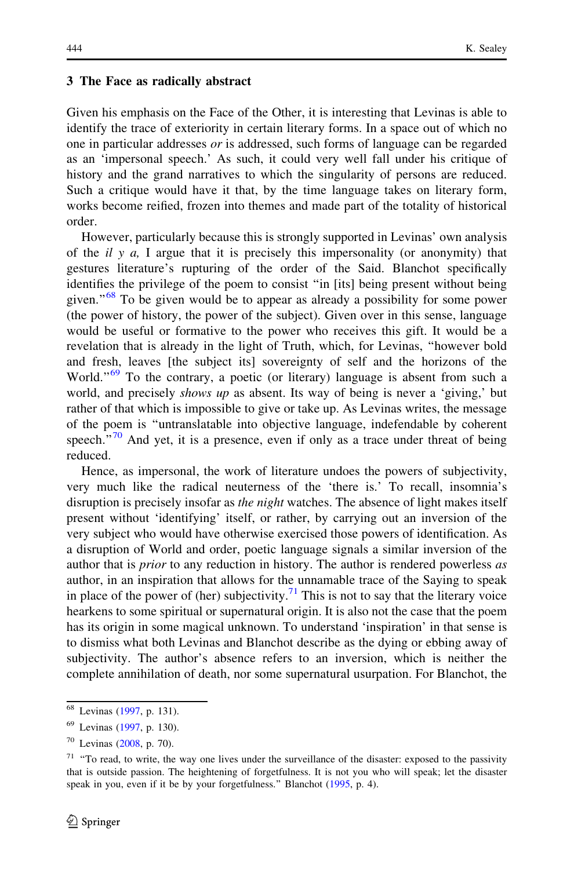## 3 The Face as radically abstract

Given his emphasis on the Face of the Other, it is interesting that Levinas is able to identify the trace of exteriority in certain literary forms. In a space out of which no one in particular addresses or is addressed, such forms of language can be regarded as an 'impersonal speech.' As such, it could very well fall under his critique of history and the grand narratives to which the singularity of persons are reduced. Such a critique would have it that, by the time language takes on literary form, works become reified, frozen into themes and made part of the totality of historical order.

However, particularly because this is strongly supported in Levinas' own analysis of the  $il$  y  $a$ , I argue that it is precisely this impersonality (or anonymity) that gestures literature's rupturing of the order of the Said. Blanchot specifically identifies the privilege of the poem to consist ''in [its] being present without being given."<sup>68</sup> To be given would be to appear as already a possibility for some power (the power of history, the power of the subject). Given over in this sense, language would be useful or formative to the power who receives this gift. It would be a revelation that is already in the light of Truth, which, for Levinas, ''however bold and fresh, leaves [the subject its] sovereignty of self and the horizons of the World."<sup>69</sup> To the contrary, a poetic (or literary) language is absent from such a world, and precisely *shows up* as absent. Its way of being is never a 'giving,' but rather of that which is impossible to give or take up. As Levinas writes, the message of the poem is ''untranslatable into objective language, indefendable by coherent speech. $170$  And yet, it is a presence, even if only as a trace under threat of being reduced.

Hence, as impersonal, the work of literature undoes the powers of subjectivity, very much like the radical neuterness of the 'there is.' To recall, insomnia's disruption is precisely insofar as the night watches. The absence of light makes itself present without 'identifying' itself, or rather, by carrying out an inversion of the very subject who would have otherwise exercised those powers of identification. As a disruption of World and order, poetic language signals a similar inversion of the author that is *prior* to any reduction in history. The author is rendered powerless as author, in an inspiration that allows for the unnamable trace of the Saying to speak in place of the power of (her) subjectivity.<sup>71</sup> This is not to say that the literary voice hearkens to some spiritual or supernatural origin. It is also not the case that the poem has its origin in some magical unknown. To understand 'inspiration' in that sense is to dismiss what both Levinas and Blanchot describe as the dying or ebbing away of subjectivity. The author's absence refers to an inversion, which is neither the complete annihilation of death, nor some supernatural usurpation. For Blanchot, the

<sup>68</sup> Levinas ([1997](#page-17-0), p. 131).

<sup>69</sup> Levinas ([1997](#page-17-0), p. 130).

<sup>70</sup> Levinas ([2008](#page-17-0), p. 70).

 $71$  "To read, to write, the way one lives under the surveillance of the disaster: exposed to the passivity that is outside passion. The heightening of forgetfulness. It is not you who will speak; let the disaster speak in you, even if it be by your forgetfulness.'' Blanchot [\(1995](#page-16-0), p. 4).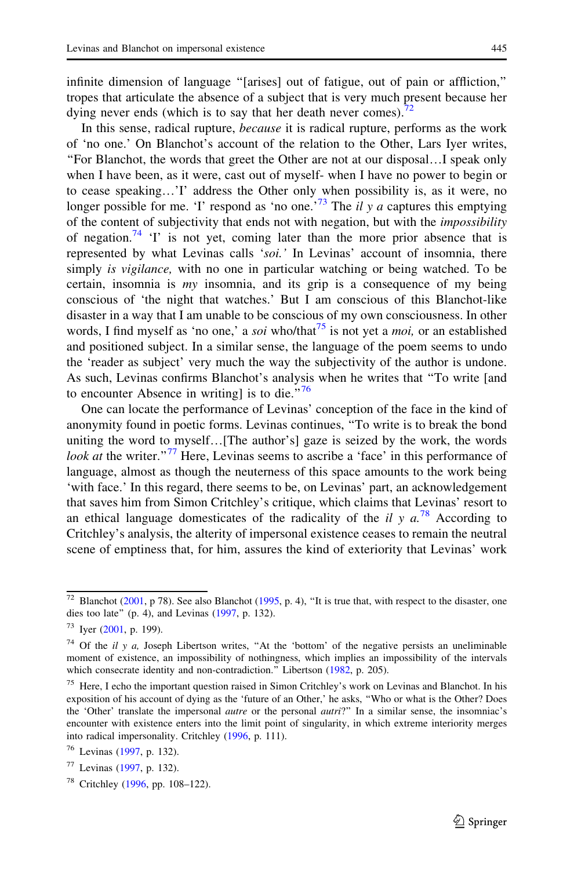infinite dimension of language ''[arises] out of fatigue, out of pain or affliction,'' tropes that articulate the absence of a subject that is very much present because her dying never ends (which is to say that her death never comes).<sup>72</sup>

In this sense, radical rupture, because it is radical rupture, performs as the work of 'no one.' On Blanchot's account of the relation to the Other, Lars Iyer writes, ''For Blanchot, the words that greet the Other are not at our disposal…I speak only when I have been, as it were, cast out of myself- when I have no power to begin or to cease speaking…'I' address the Other only when possibility is, as it were, no longer possible for me. 'I' respond as 'no one.'<sup>73</sup> The *il* y *a* captures this emptying of the content of subjectivity that ends not with negation, but with the impossibility of negation.<sup>74</sup>  $\cdot$  I' is not yet, coming later than the more prior absence that is represented by what Levinas calls 'soi.' In Levinas' account of insomnia, there simply *is vigilance*, with no one in particular watching or being watched. To be certain, insomnia is  $my$  insomnia, and its grip is a consequence of my being conscious of 'the night that watches.' But I am conscious of this Blanchot-like disaster in a way that I am unable to be conscious of my own consciousness. In other words, I find myself as 'no one,' a *soi* who/that<sup>75</sup> is not yet a *moi*, or an established and positioned subject. In a similar sense, the language of the poem seems to undo the 'reader as subject' very much the way the subjectivity of the author is undone. As such, Levinas confirms Blanchot's analysis when he writes that ''To write [and to encounter Absence in writing] is to die."<sup>76</sup>

One can locate the performance of Levinas' conception of the face in the kind of anonymity found in poetic forms. Levinas continues, ''To write is to break the bond uniting the word to myself…[The author's] gaze is seized by the work, the words *look at* the writer."<sup>77</sup> Here, Levinas seems to ascribe a 'face' in this performance of language, almost as though the neuterness of this space amounts to the work being 'with face.' In this regard, there seems to be, on Levinas' part, an acknowledgement that saves him from Simon Critchley's critique, which claims that Levinas' resort to an ethical language domesticates of the radicality of the il y  $a^{78}$  According to Critchley's analysis, the alterity of impersonal existence ceases to remain the neutral scene of emptiness that, for him, assures the kind of exteriority that Levinas' work

 $72$  Blanchot ([2001](#page-16-0), p 78). See also Blanchot [\(1995,](#page-16-0) p. 4), "It is true that, with respect to the disaster, one dies too late'' (p. 4), and Levinas [\(1997](#page-17-0), p. 132).

 $73$  Iyer [\(2001](#page-17-0), p. 199).

 $74$  Of the il y a, Joseph Libertson writes, "At the 'bottom' of the negative persists an uneliminable moment of existence, an impossibility of nothingness, which implies an impossibility of the intervals which consecrate identity and non-contradiction." Libertson [\(1982](#page-17-0), p. 205).

<sup>&</sup>lt;sup>75</sup> Here, I echo the important question raised in Simon Critchley's work on Levinas and Blanchot. In his exposition of his account of dying as the 'future of an Other,' he asks, ''Who or what is the Other? Does the 'Other' translate the impersonal autre or the personal autri?'' In a similar sense, the insomniac's encounter with existence enters into the limit point of singularity, in which extreme interiority merges into radical impersonality. Critchley [\(1996,](#page-16-0) p. 111).

<sup>76</sup> Levinas ([1997](#page-17-0), p. 132).

 $77$  Levinas ([1997](#page-17-0), p. 132).

<sup>78</sup> Critchley ([1996,](#page-16-0) pp. 108–122).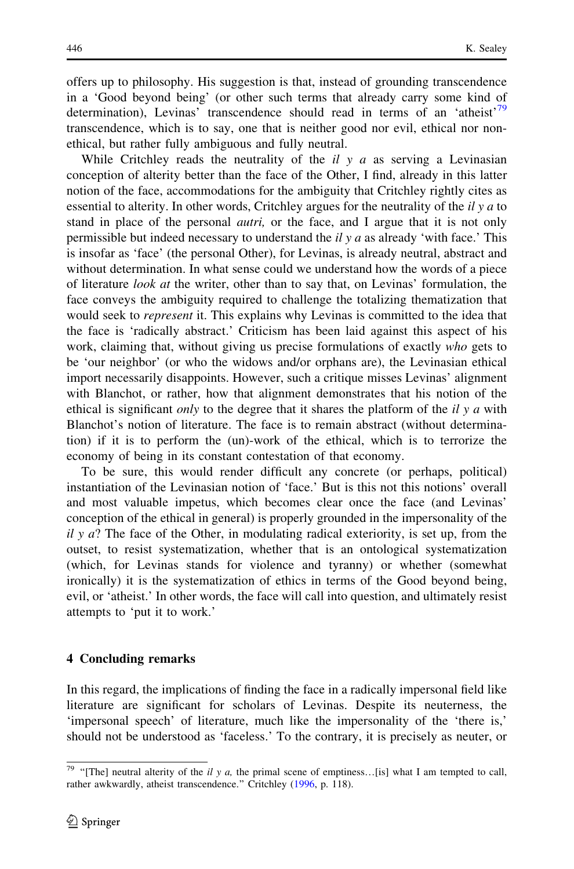offers up to philosophy. His suggestion is that, instead of grounding transcendence in a 'Good beyond being' (or other such terms that already carry some kind of determination), Levinas' transcendence should read in terms of an 'atheist'<sup>79</sup> transcendence, which is to say, one that is neither good nor evil, ethical nor nonethical, but rather fully ambiguous and fully neutral.

While Critchley reads the neutrality of the  $il$  y a as serving a Levinasian conception of alterity better than the face of the Other, I find, already in this latter notion of the face, accommodations for the ambiguity that Critchley rightly cites as essential to alterity. In other words, Critchley argues for the neutrality of the il y  $a$  to stand in place of the personal *autri*, or the face, and I argue that it is not only permissible but indeed necessary to understand the  $ily a$  as already 'with face.' This is insofar as 'face' (the personal Other), for Levinas, is already neutral, abstract and without determination. In what sense could we understand how the words of a piece of literature *look at* the writer, other than to say that, on Levinas' formulation, the face conveys the ambiguity required to challenge the totalizing thematization that would seek to *represent* it. This explains why Levinas is committed to the idea that the face is 'radically abstract.' Criticism has been laid against this aspect of his work, claiming that, without giving us precise formulations of exactly who gets to be 'our neighbor' (or who the widows and/or orphans are), the Levinasian ethical import necessarily disappoints. However, such a critique misses Levinas' alignment with Blanchot, or rather, how that alignment demonstrates that his notion of the ethical is significant *only* to the degree that it shares the platform of the *il y a* with Blanchot's notion of literature. The face is to remain abstract (without determination) if it is to perform the (un)-work of the ethical, which is to terrorize the economy of being in its constant contestation of that economy.

To be sure, this would render difficult any concrete (or perhaps, political) instantiation of the Levinasian notion of 'face.' But is this not this notions' overall and most valuable impetus, which becomes clear once the face (and Levinas' conception of the ethical in general) is properly grounded in the impersonality of the  $il y a?$  The face of the Other, in modulating radical exteriority, is set up, from the outset, to resist systematization, whether that is an ontological systematization (which, for Levinas stands for violence and tyranny) or whether (somewhat ironically) it is the systematization of ethics in terms of the Good beyond being, evil, or 'atheist.' In other words, the face will call into question, and ultimately resist attempts to 'put it to work.'

# 4 Concluding remarks

In this regard, the implications of finding the face in a radically impersonal field like literature are significant for scholars of Levinas. Despite its neuterness, the 'impersonal speech' of literature, much like the impersonality of the 'there is,' should not be understood as 'faceless.' To the contrary, it is precisely as neuter, or

 $\frac{79 \text{ °C}}{79 \text{ °C}}$  "[The] neutral alterity of the *il y a*, the primal scene of emptiness...[is] what I am tempted to call, rather awkwardly, atheist transcendence.'' Critchley [\(1996,](#page-16-0) p. 118).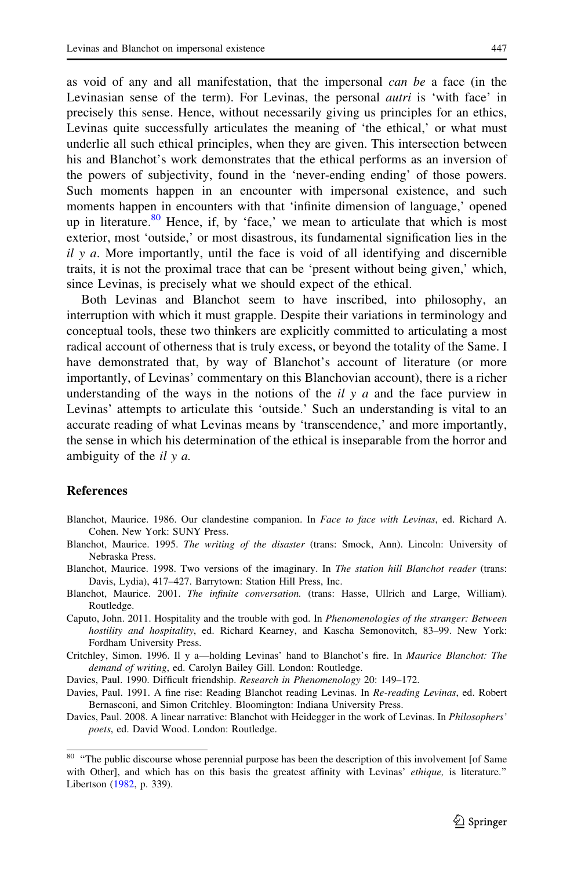<span id="page-16-0"></span>as void of any and all manifestation, that the impersonal can be a face (in the Levinasian sense of the term). For Levinas, the personal *autri* is 'with face' in precisely this sense. Hence, without necessarily giving us principles for an ethics, Levinas quite successfully articulates the meaning of 'the ethical,' or what must underlie all such ethical principles, when they are given. This intersection between his and Blanchot's work demonstrates that the ethical performs as an inversion of the powers of subjectivity, found in the 'never-ending ending' of those powers. Such moments happen in an encounter with impersonal existence, and such moments happen in encounters with that 'infinite dimension of language,' opened up in literature. <sup>80</sup> Hence, if, by 'face,' we mean to articulate that which is most exterior, most 'outside,' or most disastrous, its fundamental signification lies in the  $il y a$ . More importantly, until the face is void of all identifying and discernible traits, it is not the proximal trace that can be 'present without being given,' which, since Levinas, is precisely what we should expect of the ethical.

Both Levinas and Blanchot seem to have inscribed, into philosophy, an interruption with which it must grapple. Despite their variations in terminology and conceptual tools, these two thinkers are explicitly committed to articulating a most radical account of otherness that is truly excess, or beyond the totality of the Same. I have demonstrated that, by way of Blanchot's account of literature (or more importantly, of Levinas' commentary on this Blanchovian account), there is a richer understanding of the ways in the notions of the  $il$  y a and the face purview in Levinas' attempts to articulate this 'outside.' Such an understanding is vital to an accurate reading of what Levinas means by 'transcendence,' and more importantly, the sense in which his determination of the ethical is inseparable from the horror and ambiguity of the  $il$  y a.

#### **References**

- Blanchot, Maurice. 1986. Our clandestine companion. In Face to face with Levinas, ed. Richard A. Cohen. New York: SUNY Press.
- Blanchot, Maurice. 1995. The writing of the disaster (trans: Smock, Ann). Lincoln: University of Nebraska Press.
- Blanchot, Maurice. 1998. Two versions of the imaginary. In The station hill Blanchot reader (trans: Davis, Lydia), 417–427. Barrytown: Station Hill Press, Inc.
- Blanchot, Maurice. 2001. The infinite conversation. (trans: Hasse, Ullrich and Large, William). Routledge.
- Caputo, John. 2011. Hospitality and the trouble with god. In Phenomenologies of the stranger: Between hostility and hospitality, ed. Richard Kearney, and Kascha Semonovitch, 83–99. New York: Fordham University Press.
- Critchley, Simon. 1996. Il y a—holding Levinas' hand to Blanchot's fire. In Maurice Blanchot: The demand of writing, ed. Carolyn Bailey Gill. London: Routledge.

Davies, Paul. 1990. Difficult friendship. Research in Phenomenology 20: 149–172.

- Davies, Paul. 1991. A fine rise: Reading Blanchot reading Levinas. In Re-reading Levinas, ed. Robert Bernasconi, and Simon Critchley. Bloomington: Indiana University Press.
- Davies, Paul. 2008. A linear narrative: Blanchot with Heidegger in the work of Levinas. In Philosophers' poets, ed. David Wood. London: Routledge.

<sup>&</sup>lt;sup>80</sup> "The public discourse whose perennial purpose has been the description of this involvement [of Same with Other], and which has on this basis the greatest affinity with Levinas' ethique, is literature." Libertson ([1982,](#page-17-0) p. 339).